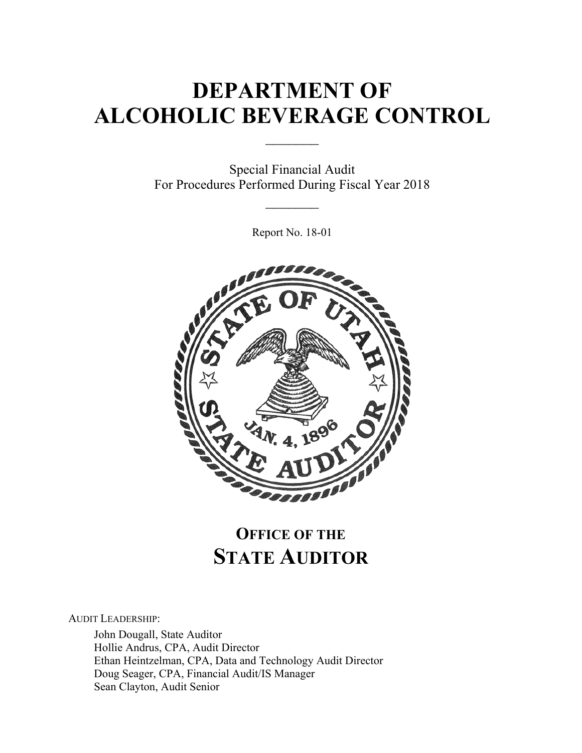# **DEPARTMENT OF ALCOHOLIC BEVERAGE CONTROL**

 $\frac{1}{2}$ 

Special Financial Audit For Procedures Performed During Fiscal Year 2018

 $\frac{1}{2}$ 

Report No. 18-01



# **OFFICE OF THE STATE AUDITOR**

AUDIT LEADERSHIP:

John Dougall, State Auditor Hollie Andrus, CPA, Audit Director Ethan Heintzelman, CPA, Data and Technology Audit Director Doug Seager, CPA, Financial Audit/IS Manager Sean Clayton, Audit Senior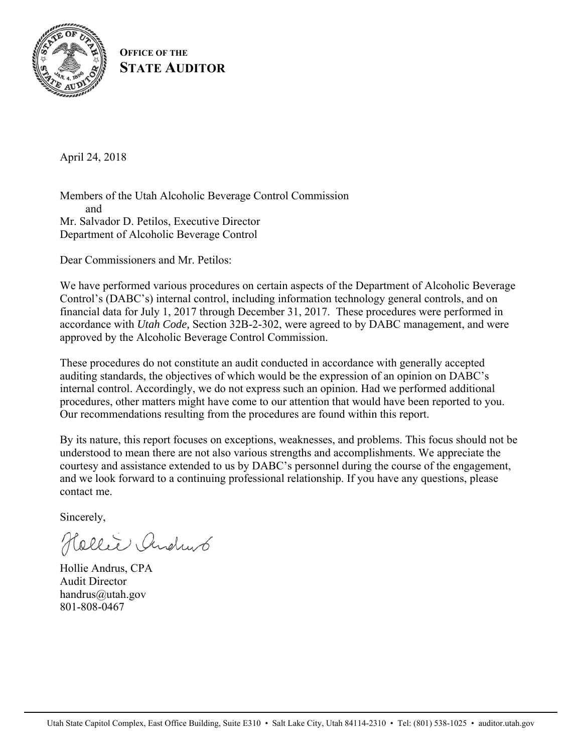

**OFFICE OF THE STATE AUDITOR**

April 24, 2018

Members of the Utah Alcoholic Beverage Control Commission and Mr. Salvador D. Petilos, Executive Director Department of Alcoholic Beverage Control

Dear Commissioners and Mr. Petilos:

We have performed various procedures on certain aspects of the Department of Alcoholic Beverage Control's (DABC's) internal control, including information technology general controls, and on financial data for July 1, 2017 through December 31, 2017. These procedures were performed in accordance with *Utah Code,* Section 32B-2-302, were agreed to by DABC management, and were approved by the Alcoholic Beverage Control Commission.

These procedures do not constitute an audit conducted in accordance with generally accepted auditing standards, the objectives of which would be the expression of an opinion on DABC's internal control. Accordingly, we do not express such an opinion. Had we performed additional procedures, other matters might have come to our attention that would have been reported to you. Our recommendations resulting from the procedures are found within this report.

By its nature, this report focuses on exceptions, weaknesses, and problems. This focus should not be understood to mean there are not also various strengths and accomplishments. We appreciate the courtesy and assistance extended to us by DABC's personnel during the course of the engagement, and we look forward to a continuing professional relationship. If you have any questions, please contact me.

Sincerely,

Hollie Andrus

Hollie Andrus, CPA Audit Director handrus@utah.gov 801-808-0467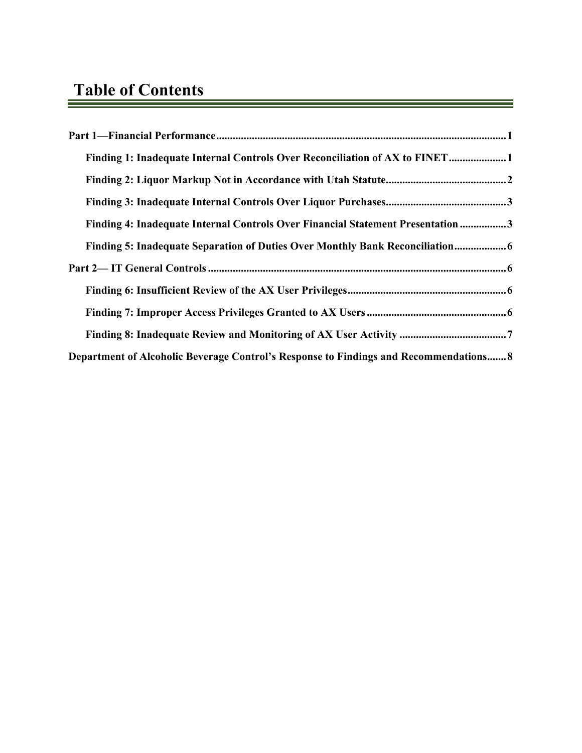| Finding 1: Inadequate Internal Controls Over Reconciliation of AX to FINET1           |
|---------------------------------------------------------------------------------------|
|                                                                                       |
|                                                                                       |
| Finding 4: Inadequate Internal Controls Over Financial Statement Presentation 3       |
| Finding 5: Inadequate Separation of Duties Over Monthly Bank Reconciliation           |
|                                                                                       |
|                                                                                       |
|                                                                                       |
|                                                                                       |
| Department of Alcoholic Beverage Control's Response to Findings and Recommendations 8 |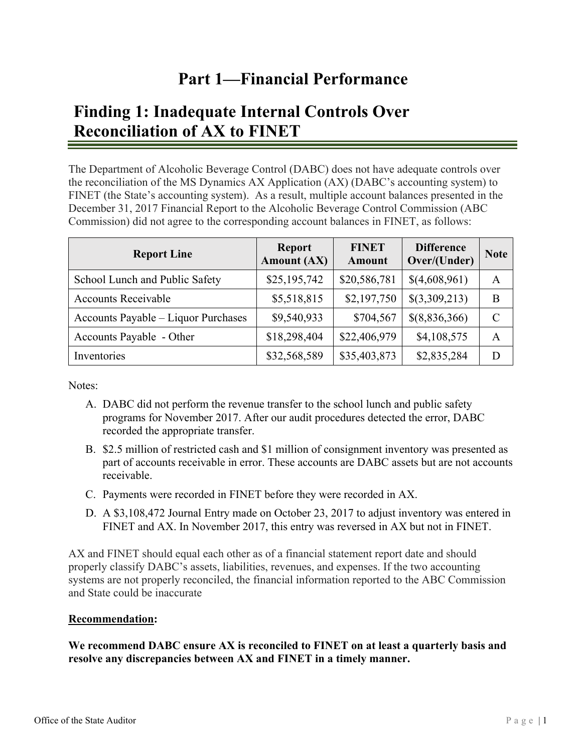# **Part 1—Financial Performance**

# **Finding 1: Inadequate Internal Controls Over Reconciliation of AX to FINET**

The Department of Alcoholic Beverage Control (DABC) does not have adequate controls over the reconciliation of the MS Dynamics AX Application (AX) (DABC's accounting system) to FINET (the State's accounting system). As a result, multiple account balances presented in the December 31, 2017 Financial Report to the Alcoholic Beverage Control Commission (ABC Commission) did not agree to the corresponding account balances in FINET, as follows:

| <b>Report Line</b>                  | <b>Report</b><br><b>Amount (AX)</b> | <b>FINET</b><br><b>Amount</b> | <b>Difference</b><br>Over/(Under) | <b>Note</b>   |
|-------------------------------------|-------------------------------------|-------------------------------|-----------------------------------|---------------|
| School Lunch and Public Safety      | \$25,195,742                        | \$20,586,781                  | \$(4,608,961)                     | A             |
| <b>Accounts Receivable</b>          | \$5,518,815                         | \$2,197,750                   | $\{(3,309,213)\}$                 | B             |
| Accounts Payable - Liquor Purchases | \$9,540,933                         | \$704,567                     | \$(8,836,366)                     | $\mathcal{C}$ |
| Accounts Payable - Other            | \$18,298,404                        | \$22,406,979                  | \$4,108,575                       | A             |
| Inventories                         | \$32,568,589                        | \$35,403,873                  | \$2,835,284                       | D             |

Notes:

- A. DABC did not perform the revenue transfer to the school lunch and public safety programs for November 2017. After our audit procedures detected the error, DABC recorded the appropriate transfer.
- B. \$2.5 million of restricted cash and \$1 million of consignment inventory was presented as part of accounts receivable in error. These accounts are DABC assets but are not accounts receivable.
- C. Payments were recorded in FINET before they were recorded in AX.
- D. A \$3,108,472 Journal Entry made on October 23, 2017 to adjust inventory was entered in FINET and AX. In November 2017, this entry was reversed in AX but not in FINET.

AX and FINET should equal each other as of a financial statement report date and should properly classify DABC's assets, liabilities, revenues, and expenses. If the two accounting systems are not properly reconciled, the financial information reported to the ABC Commission and State could be inaccurate

#### **Recommendation:**

**We recommend DABC ensure AX is reconciled to FINET on at least a quarterly basis and resolve any discrepancies between AX and FINET in a timely manner.**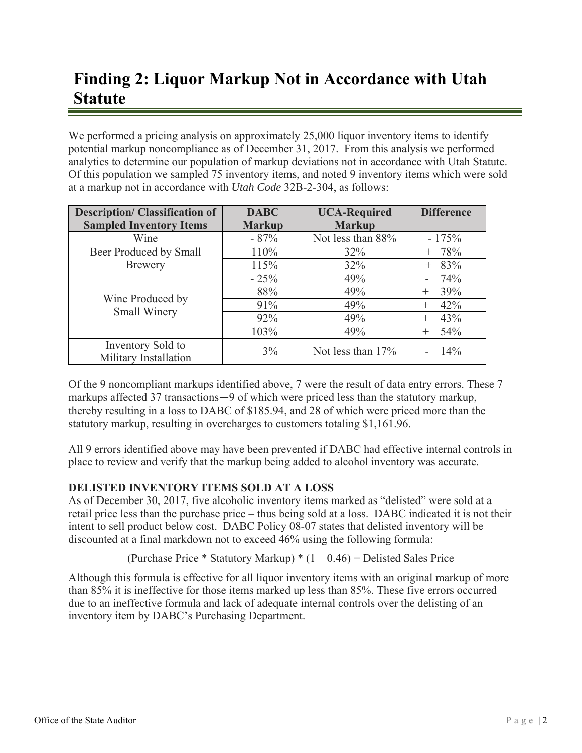# **Finding 2: Liquor Markup Not in Accordance with Utah Statute**

We performed a pricing analysis on approximately 25,000 liquor inventory items to identify potential markup noncompliance as of December 31, 2017. From this analysis we performed analytics to determine our population of markup deviations not in accordance with Utah Statute. Of this population we sampled 75 inventory items, and noted 9 inventory items which were sold at a markup not in accordance with *Utah Code* 32B-2-304, as follows:

| <b>Description/Classification of</b>       | <b>DABC</b>   | <b>UCA-Required</b> | <b>Difference</b> |
|--------------------------------------------|---------------|---------------------|-------------------|
| <b>Sampled Inventory Items</b>             | <b>Markup</b> | <b>Markup</b>       |                   |
| Wine                                       | $-87%$        | Not less than 88%   | $-175%$           |
| Beer Produced by Small                     | 110%          | 32%                 | $+ 78%$           |
| <b>Brewery</b>                             | 115%          | 32%                 | 83%<br>$^{+}$     |
| Wine Produced by<br>Small Winery           | $-25%$        | 49%                 | 74%               |
|                                            | 88%           | 49%                 | 39%<br>$^{+}$     |
|                                            | 91%           | 49%                 | 42%<br>$^+$       |
|                                            | 92%           | 49%                 | 43%<br>$^+$       |
|                                            | 103%          | 49%                 | 54%<br>$^+$       |
| Inventory Sold to<br>Military Installation | $3\%$         | Not less than $17%$ | 14%               |

Of the 9 noncompliant markups identified above, 7 were the result of data entry errors. These 7 markups affected 37 transactions―9 of which were priced less than the statutory markup, thereby resulting in a loss to DABC of \$185.94, and 28 of which were priced more than the statutory markup, resulting in overcharges to customers totaling \$1,161.96.

All 9 errors identified above may have been prevented if DABC had effective internal controls in place to review and verify that the markup being added to alcohol inventory was accurate.

### **DELISTED INVENTORY ITEMS SOLD AT A LOSS**

As of December 30, 2017, five alcoholic inventory items marked as "delisted" were sold at a retail price less than the purchase price – thus being sold at a loss. DABC indicated it is not their intent to sell product below cost. DABC Policy 08-07 states that delisted inventory will be discounted at a final markdown not to exceed 46% using the following formula:

(Purchase Price \* Statutory Markup) \*  $(1 - 0.46)$  = Delisted Sales Price

Although this formula is effective for all liquor inventory items with an original markup of more than 85% it is ineffective for those items marked up less than 85%. These five errors occurred due to an ineffective formula and lack of adequate internal controls over the delisting of an inventory item by DABC's Purchasing Department.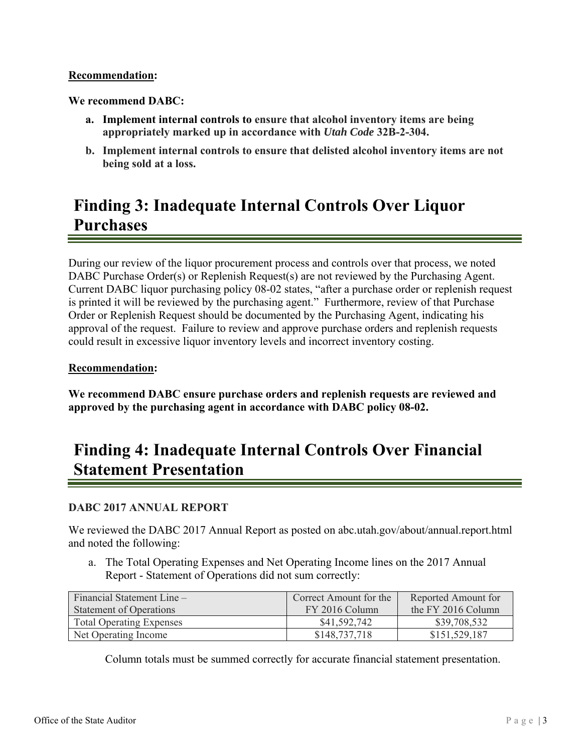#### **Recommendation:**

**We recommend DABC:** 

- **a. Implement internal controls to ensure that alcohol inventory items are being appropriately marked up in accordance with** *Utah Code* **32B-2-304.**
- **b. Implement internal controls to ensure that delisted alcohol inventory items are not being sold at a loss.**

# **Finding 3: Inadequate Internal Controls Over Liquor Purchases**

During our review of the liquor procurement process and controls over that process, we noted DABC Purchase Order(s) or Replenish Request(s) are not reviewed by the Purchasing Agent. Current DABC liquor purchasing policy 08-02 states, "after a purchase order or replenish request is printed it will be reviewed by the purchasing agent." Furthermore, review of that Purchase Order or Replenish Request should be documented by the Purchasing Agent, indicating his approval of the request. Failure to review and approve purchase orders and replenish requests could result in excessive liquor inventory levels and incorrect inventory costing.

### **Recommendation:**

**We recommend DABC ensure purchase orders and replenish requests are reviewed and approved by the purchasing agent in accordance with DABC policy 08-02.** 

# **Finding 4: Inadequate Internal Controls Over Financial Statement Presentation**

### **DABC 2017 ANNUAL REPORT**

We reviewed the DABC 2017 Annual Report as posted on abc.utah.gov/about/annual.report.html and noted the following:

a. The Total Operating Expenses and Net Operating Income lines on the 2017 Annual Report - Statement of Operations did not sum correctly:

| Financial Statement Line $-$    | Correct Amount for the | Reported Amount for |
|---------------------------------|------------------------|---------------------|
| <b>Statement of Operations</b>  | FY 2016 Column         | the FY 2016 Column  |
| <b>Total Operating Expenses</b> | \$41,592,742           | \$39,708,532        |
| Net Operating Income            | \$148,737,718          | \$151,529,187       |

Column totals must be summed correctly for accurate financial statement presentation.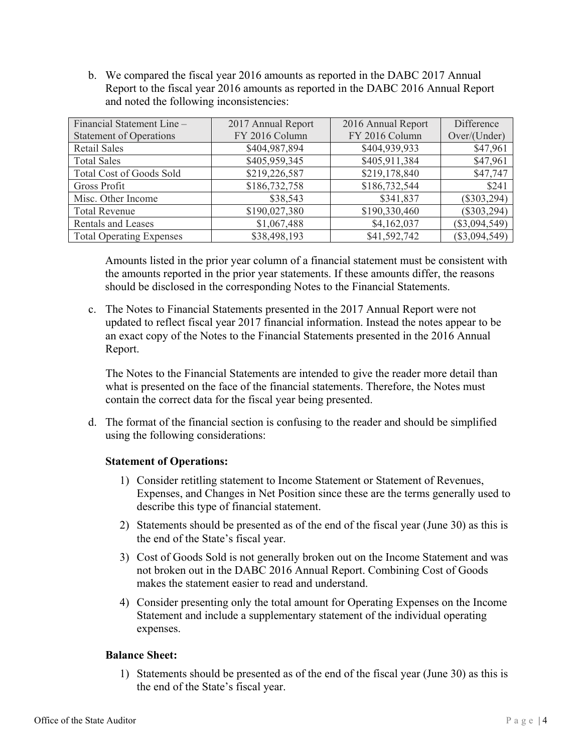b. We compared the fiscal year 2016 amounts as reported in the DABC 2017 Annual Report to the fiscal year 2016 amounts as reported in the DABC 2016 Annual Report and noted the following inconsistencies:

| Financial Statement Line -      | 2017 Annual Report | 2016 Annual Report | Difference      |
|---------------------------------|--------------------|--------------------|-----------------|
| <b>Statement of Operations</b>  | FY 2016 Column     | FY 2016 Column     | Over/(Under)    |
| Retail Sales                    | \$404,987,894      | \$404,939,933      | \$47,961        |
| <b>Total Sales</b>              | \$405,959,345      | \$405,911,384      | \$47,961        |
| <b>Total Cost of Goods Sold</b> | \$219,226,587      | \$219,178,840      | \$47,747        |
| Gross Profit                    | \$186,732,758      | \$186,732,544      | \$241           |
| Misc. Other Income              | \$38,543           | \$341,837          | $(\$303,294)$   |
| <b>Total Revenue</b>            | \$190,027,380      | \$190,330,460      | $(\$303,294)$   |
| <b>Rentals and Leases</b>       | \$1,067,488        | \$4,162,037        | $(\$3,094,549)$ |
| <b>Total Operating Expenses</b> | \$38,498,193       | \$41,592,742       | $(\$3,094,549)$ |

Amounts listed in the prior year column of a financial statement must be consistent with the amounts reported in the prior year statements. If these amounts differ, the reasons should be disclosed in the corresponding Notes to the Financial Statements.

c. The Notes to Financial Statements presented in the 2017 Annual Report were not updated to reflect fiscal year 2017 financial information. Instead the notes appear to be an exact copy of the Notes to the Financial Statements presented in the 2016 Annual Report.

The Notes to the Financial Statements are intended to give the reader more detail than what is presented on the face of the financial statements. Therefore, the Notes must contain the correct data for the fiscal year being presented.

d. The format of the financial section is confusing to the reader and should be simplified using the following considerations:

#### **Statement of Operations:**

- 1) Consider retitling statement to Income Statement or Statement of Revenues, Expenses, and Changes in Net Position since these are the terms generally used to describe this type of financial statement.
- 2) Statements should be presented as of the end of the fiscal year (June 30) as this is the end of the State's fiscal year.
- 3) Cost of Goods Sold is not generally broken out on the Income Statement and was not broken out in the DABC 2016 Annual Report. Combining Cost of Goods makes the statement easier to read and understand.
- 4) Consider presenting only the total amount for Operating Expenses on the Income Statement and include a supplementary statement of the individual operating expenses.

### **Balance Sheet:**

1) Statements should be presented as of the end of the fiscal year (June 30) as this is the end of the State's fiscal year.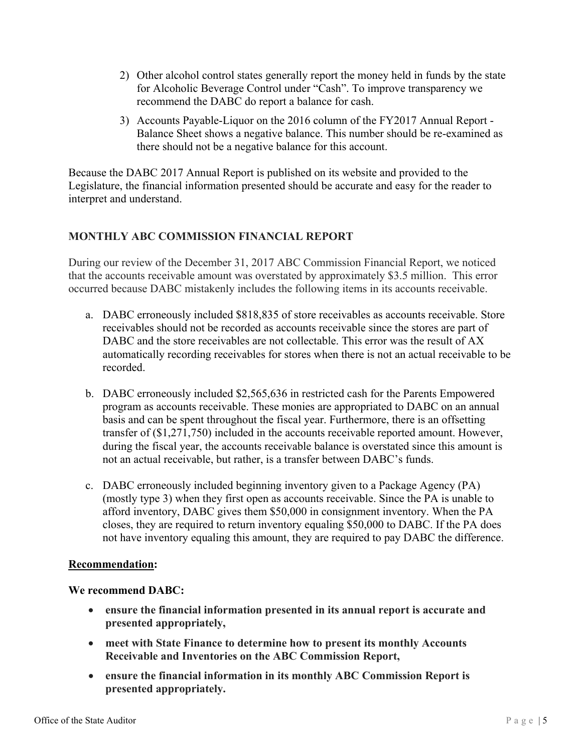- 2) Other alcohol control states generally report the money held in funds by the state for Alcoholic Beverage Control under "Cash". To improve transparency we recommend the DABC do report a balance for cash.
- 3) Accounts Payable-Liquor on the 2016 column of the FY2017 Annual Report Balance Sheet shows a negative balance. This number should be re-examined as there should not be a negative balance for this account.

Because the DABC 2017 Annual Report is published on its website and provided to the Legislature, the financial information presented should be accurate and easy for the reader to interpret and understand.

### **MONTHLY ABC COMMISSION FINANCIAL REPORT**

During our review of the December 31, 2017 ABC Commission Financial Report, we noticed that the accounts receivable amount was overstated by approximately \$3.5 million. This error occurred because DABC mistakenly includes the following items in its accounts receivable.

- a. DABC erroneously included \$818,835 of store receivables as accounts receivable. Store receivables should not be recorded as accounts receivable since the stores are part of DABC and the store receivables are not collectable. This error was the result of AX automatically recording receivables for stores when there is not an actual receivable to be recorded.
- b. DABC erroneously included \$2,565,636 in restricted cash for the Parents Empowered program as accounts receivable. These monies are appropriated to DABC on an annual basis and can be spent throughout the fiscal year. Furthermore, there is an offsetting transfer of (\$1,271,750) included in the accounts receivable reported amount. However, during the fiscal year, the accounts receivable balance is overstated since this amount is not an actual receivable, but rather, is a transfer between DABC's funds.
- c. DABC erroneously included beginning inventory given to a Package Agency (PA) (mostly type 3) when they first open as accounts receivable. Since the PA is unable to afford inventory, DABC gives them \$50,000 in consignment inventory. When the PA closes, they are required to return inventory equaling \$50,000 to DABC. If the PA does not have inventory equaling this amount, they are required to pay DABC the difference.

### **Recommendation:**

#### **We recommend DABC:**

- **ensure the financial information presented in its annual report is accurate and presented appropriately,**
- **meet with State Finance to determine how to present its monthly Accounts Receivable and Inventories on the ABC Commission Report,**
- **ensure the financial information in its monthly ABC Commission Report is presented appropriately.**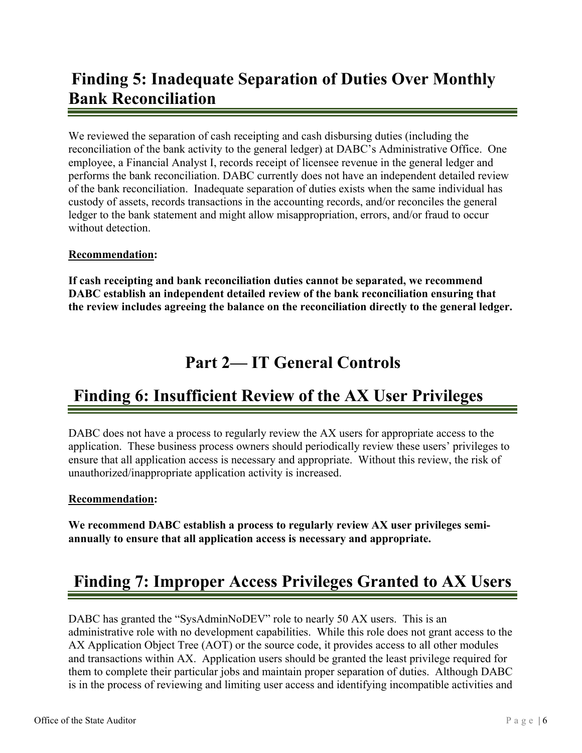# **Finding 5: Inadequate Separation of Duties Over Monthly Bank Reconciliation**

We reviewed the separation of cash receipting and cash disbursing duties (including the reconciliation of the bank activity to the general ledger) at DABC's Administrative Office. One employee, a Financial Analyst I, records receipt of licensee revenue in the general ledger and performs the bank reconciliation. DABC currently does not have an independent detailed review of the bank reconciliation. Inadequate separation of duties exists when the same individual has custody of assets, records transactions in the accounting records, and/or reconciles the general ledger to the bank statement and might allow misappropriation, errors, and/or fraud to occur without detection.

### **Recommendation:**

**If cash receipting and bank reconciliation duties cannot be separated, we recommend DABC establish an independent detailed review of the bank reconciliation ensuring that the review includes agreeing the balance on the reconciliation directly to the general ledger.** 

# **Part 2— IT General Controls**

# **Finding 6: Insufficient Review of the AX User Privileges**

DABC does not have a process to regularly review the AX users for appropriate access to the application. These business process owners should periodically review these users' privileges to ensure that all application access is necessary and appropriate. Without this review, the risk of unauthorized/inappropriate application activity is increased.

### **Recommendation:**

**We recommend DABC establish a process to regularly review AX user privileges semiannually to ensure that all application access is necessary and appropriate.** 

# **Finding 7: Improper Access Privileges Granted to AX Users**

DABC has granted the "SysAdminNoDEV" role to nearly 50 AX users. This is an administrative role with no development capabilities. While this role does not grant access to the AX Application Object Tree (AOT) or the source code, it provides access to all other modules and transactions within AX. Application users should be granted the least privilege required for them to complete their particular jobs and maintain proper separation of duties. Although DABC is in the process of reviewing and limiting user access and identifying incompatible activities and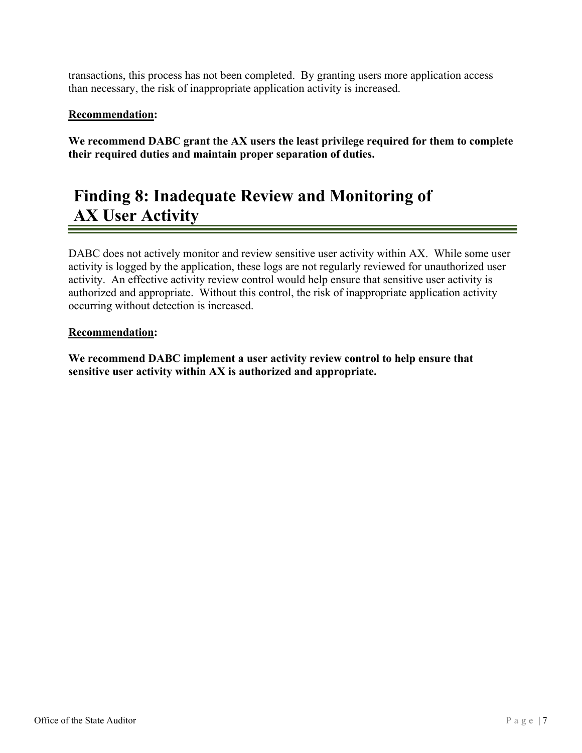transactions, this process has not been completed. By granting users more application access than necessary, the risk of inappropriate application activity is increased.

### **Recommendation:**

**We recommend DABC grant the AX users the least privilege required for them to complete their required duties and maintain proper separation of duties.**

# **Finding 8: Inadequate Review and Monitoring of AX User Activity**

DABC does not actively monitor and review sensitive user activity within AX. While some user activity is logged by the application, these logs are not regularly reviewed for unauthorized user activity. An effective activity review control would help ensure that sensitive user activity is authorized and appropriate. Without this control, the risk of inappropriate application activity occurring without detection is increased.

#### **Recommendation:**

**We recommend DABC implement a user activity review control to help ensure that sensitive user activity within AX is authorized and appropriate.**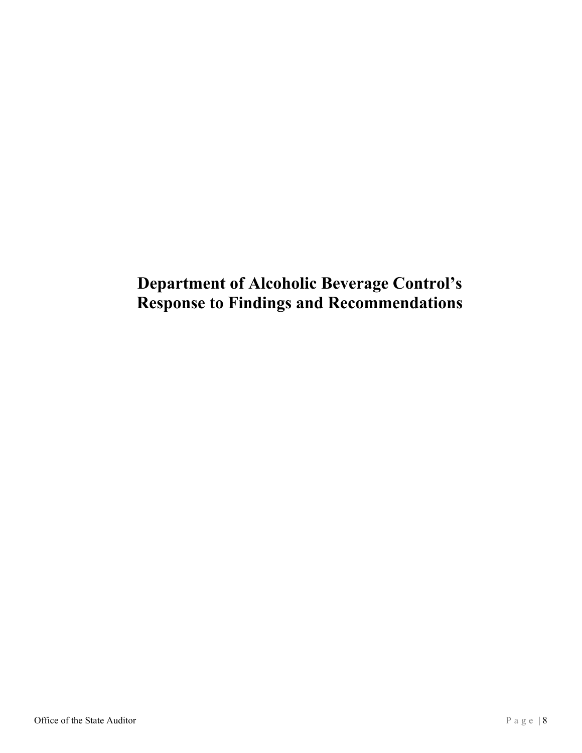# **Department of Alcoholic Beverage Control's Response to Findings and Recommendations**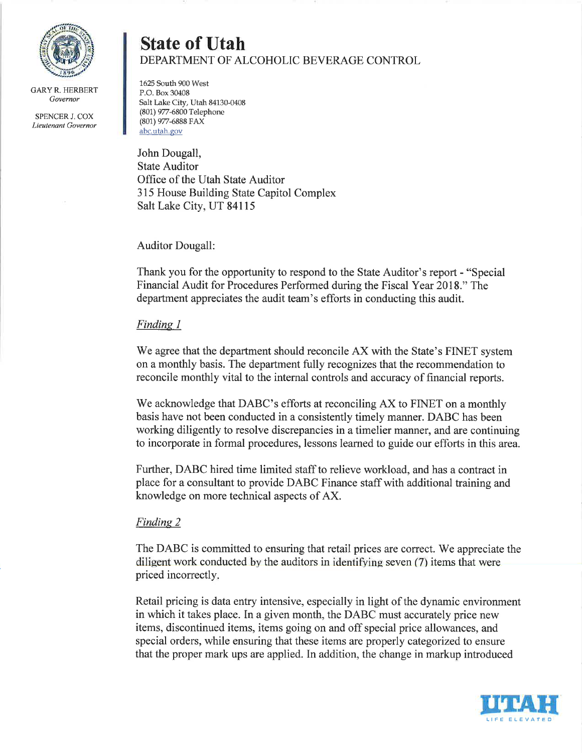

**GARY R. HERBERT** Governor

SPENCER J. COX Lieutenant Governor

### **State of Utah** DEPARTMENT OF ALCOHOLIC BEVERAGE CONTROL

1625 South 900 West P.O. Box 30408 Salt Lake City, Utah 84130-0408 (801) 977-6800 Telephone (801) 977-6888 FAX abc.utah.gov

John Dougall, **State Auditor** Office of the Utah State Auditor 315 House Building State Capitol Complex Salt Lake City, UT 84115

#### **Auditor Dougall:**

Thank you for the opportunity to respond to the State Auditor's report - "Special" Financial Audit for Procedures Performed during the Fiscal Year 2018." The department appreciates the audit team's efforts in conducting this audit.

### Finding 1

We agree that the department should reconcile AX with the State's FINET system on a monthly basis. The department fully recognizes that the recommendation to reconcile monthly vital to the internal controls and accuracy of financial reports.

We acknowledge that DABC's efforts at reconciling AX to FINET on a monthly basis have not been conducted in a consistently timely manner. DABC has been working diligently to resolve discrepancies in a timelier manner, and are continuing to incorporate in formal procedures, lessons learned to guide our efforts in this area.

Further, DABC hired time limited staff to relieve workload, and has a contract in place for a consultant to provide DABC Finance staff with additional training and knowledge on more technical aspects of AX.

#### **Finding 2**

The DABC is committed to ensuring that retail prices are correct. We appreciate the diligent work conducted by the auditors in identifying seven (7) items that were priced incorrectly.

Retail pricing is data entry intensive, especially in light of the dynamic environment in which it takes place. In a given month, the DABC must accurately price new items, discontinued items, items going on and off special price allowances, and special orders, while ensuring that these items are properly categorized to ensure that the proper mark ups are applied. In addition, the change in markup introduced

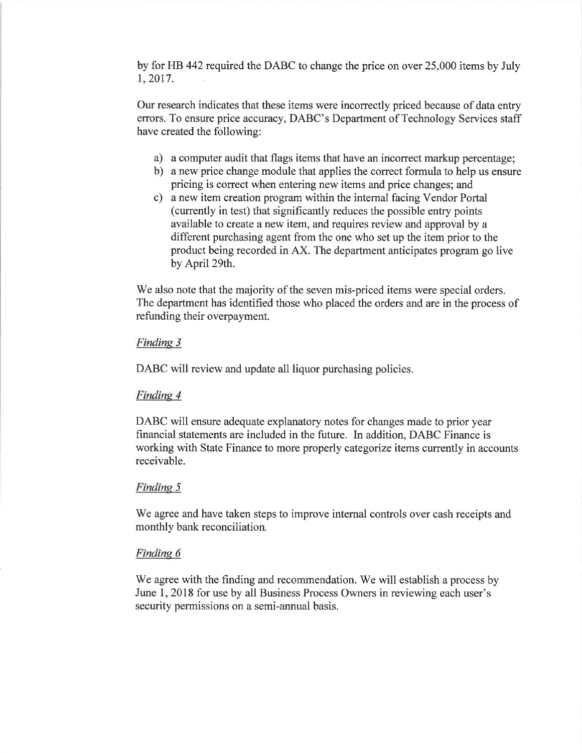by for HB 442 required the DABC to change the price on over 25,000 items by July 1, 2017.

Our research indicates that these items were incorrectly priced because of data entry errors. To ensure price accuracy, DABC's Department of Technology Services staff have created the following:

- a) a computer audit that flags items that have an incorrect markup percentage;
- b) a new price change module that applies the correct formula to help us ensure pricing is correct when entering new items and price changes; and
- c) a new item creation program within the internal facing Vendor Portal (currently in test) that significantly reduces the possible entry points available to create a new item, and requires review and approval by a different purchasing agent from the one who set up the item prior to the product being recorded in AX. The department anticipates program go live by April 29th.

We also note that the majority of the seven mis-priced items were special orders. The department has identified those who placed the orders and are in the process of refunding their overpayment.

#### Finding 3

DABC will review and update all liquor purchasing policies.

#### Finding 4

DABC will ensure adequate explanatory notes for changes made to prior year financial statements are included in the future. In addition, DABC Finance is working with State Finance to more properly categorize items currently in accounts receivable.

#### Finding 5

We agree and have taken steps to improve internal controls over cash receipts and monthly bank reconciliation.

#### Finding 6

We agree with the finding and recommendation. We will establish a process by June 1, 2018 for use by all Business Process Owners in reviewing each user's security permissions on a semi-annual basis.